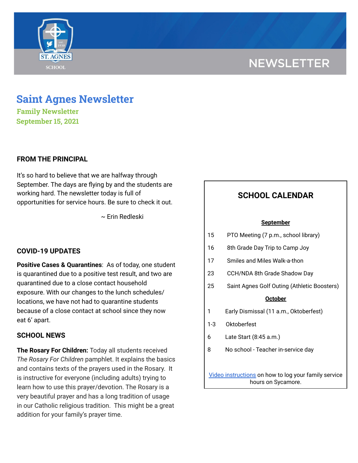# **NEWSLETTER**



## **Saint Agnes Newsletter**

**Family Newsletter September 15, 2021**

## **FROM THE PRINCIPAL**

It's so hard to believe that we are halfway through September. The days are flying by and the students are working hard. The newsletter today is full of opportunities for service hours. Be sure to check it out.

~ Erin Redleski

## **COVID-19 UPDATES**

**Positive Cases & Quarantines**: As of today, one student is quarantined due to a positive test result, and two are quarantined due to a close contact household exposure. With our changes to the lunch schedules/ locations, we have not had to quarantine students because of a close contact at school since they now eat 6' apart.

## **SCHOOL NEWS**

**The Rosary For Children:** Today all students received *The Rosary For Children* pamphlet. It explains the basics and contains texts of the prayers used in the Rosary. It is instructive for everyone (including adults) trying to learn how to use this prayer/devotion. The Rosary is a very beautiful prayer and has a long tradition of usage in our Catholic religious tradition. This might be a great addition for your family's prayer time.

## **SCHOOL CALENDAR**

#### **September**

- 15 PTO Meeting (7 p.m., school library)
- 16 8th Grade Day Trip to Camp Joy
- 17 Smiles and Miles Walk-a-thon
- 23 CCH/NDA 8th Grade Shadow Day
- 25 Saint Agnes Golf Outing (Athletic Boosters)

#### **October**

- 1 Early Dismissal (11 a.m., Oktoberfest)
- 1-3 Oktoberfest
- 6 Late Start (8:45 a.m.)
- 8 No school Teacher in-service day

Video [instructions](https://drive.google.com/file/d/1cmYj9N-NF2btSiiG8QdTD20q2RJRpwk7/view?usp=sharing) on how to log your family service hours on Sycamore.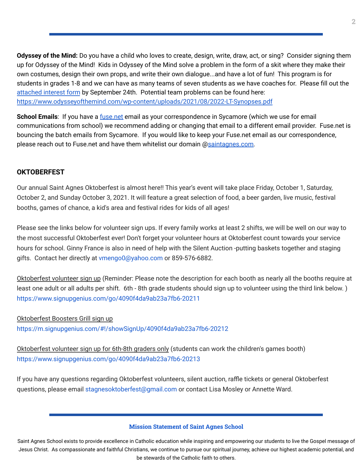**Odyssey of the Mind:** Do you have a child who loves to create, design, write, draw, act, or sing? Consider signing them up for Odyssey of the Mind! Kids in Odyssey of the Mind solve a problem in the form of a skit where they make their own costumes, design their own props, and write their own dialogue...and have a lot of fun! This program is for students in grades 1-8 and we can have as many teams of seven students as we have coaches for. Please fill out the [attached](https://school.saintagnes.com/wp-content/uploads/2021/09/2021-Interest-Form-OM.pdf) interest form by September 24th. Potential team problems can be found here: <https://www.odysseyofthemind.com/wp-content/uploads/2021/08/2022-LT-Synopses.pdf>

**School Emails**: If you have a [fuse.net](http://fuse.net/) email as your correspondence in Sycamore (which we use for email communications from school) we recommend adding or changing that email to a different email provider. Fuse.net is bouncing the batch emails from Sycamore. If you would like to keep your Fuse.net email as our correspondence, please reach out to Fuse.net and have them whitelist our domain @[saintagnes.com.](http://saintagnes.com/)

## **OKTOBERFEST**

Our annual Saint Agnes Oktoberfest is almost here!! This year's event will take place Friday, October 1, Saturday, October 2, and Sunday October 3, 2021. It will feature a great selection of food, a beer garden, live music, festival booths, games of chance, a kid's area and festival rides for kids of all ages!

Please see the links below for volunteer sign ups. If every family works at least 2 shifts, we will be well on our way to the most successful Oktoberfest ever! Don't forget your volunteer hours at Oktoberfest count towards your service hours for school. Ginny France is also in need of help with the Silent Auction -putting baskets together and staging gifts. Contact her directly at vmengo0@yahoo.com or 859-576-6882.

Oktoberfest volunteer sign up (Reminder: Please note the description for each booth as nearly all the booths require at least one adult or all adults per shift. 6th - 8th grade students should sign up to volunteer using the third link below. ) <https://www.signupgenius.com/go/4090f4da9ab23a7fb6-20211>

## Oktoberfest Boosters Grill sign up <https://m.signupgenius.com/#!/showSignUp/4090f4da9ab23a7fb6-20212>

Oktoberfest volunteer sign up for 6th-8th graders only (students can work the children's games booth) <https://www.signupgenius.com/go/4090f4da9ab23a7fb6-20213>

If you have any questions regarding Oktoberfest volunteers, silent auction, raffle tickets or general Oktoberfest questions, please email stagnesoktoberfest@gmail.com or contact Lisa Mosley or Annette Ward.

### **Mission Statement of Saint Agnes School**

Saint Agnes School exists to provide excellence in Catholic education while inspiring and empowering our students to live the Gospel message of Jesus Christ. As compassionate and faithful Christians, we continue to pursue our spiritual journey, achieve our highest academic potential, and be stewards of the Catholic faith to others.